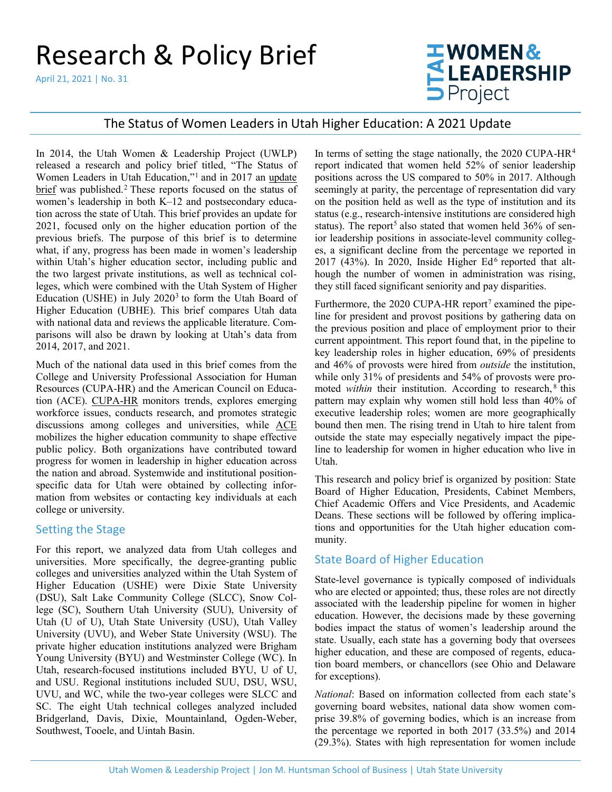# Research & Policy Brief

April 21, 2021 | No. 31

# **EWOMEN&<br>ELEADERSHIP**<br>DProject

## The Status of Women Leaders in Utah Higher Education: A 2021 Update

In 2014, the Utah Women & Leadership Project (UWLP) released a research and policy brief titled, "The Status of Women Leaders in Utah Education,"[1](#page-5-0) and in 2017 an [update](https://www.usu.edu/uwlp/files/briefs/15-status-of-women-leaders-in-utah-education-2017.pdf)  [brief](https://www.usu.edu/uwlp/files/briefs/15-status-of-women-leaders-in-utah-education-2017.pdf) was published.<sup>[2](#page-5-1)</sup> These reports focused on the status of women's leadership in both K–12 and postsecondary education across the state of Utah. This brief provides an update for 2021, focused only on the higher education portion of the previous briefs. The purpose of this brief is to determine what, if any, progress has been made in women's leadership within Utah's higher education sector, including public and the two largest private institutions, as well as technical colleges, which were combined with the Utah System of Higher Education (USHE) in July  $2020<sup>3</sup>$  to form the Utah Board of Higher Education (UBHE). This brief compares Utah data with national data and reviews the applicable literature. Comparisons will also be drawn by looking at Utah's data from 2014, 2017, and 2021.

Much of the national data used in this brief comes from the College and University Professional Association for Human Resources (CUPA-HR) and the American Council on Education (ACE). [CUPA-HR](https://www.cupahr.org/) monitors trends, explores emerging workforce issues, conducts research, and promotes strategic discussions among colleges and universities, while [ACE](http://www.acenet.edu/) mobilizes the higher education community to shape effective public policy. Both organizations have contributed toward progress for women in leadership in higher education across the nation and abroad. Systemwide and institutional positionspecific data for Utah were obtained by collecting information from websites or contacting key individuals at each college or university.

#### Setting the Stage

For this report, we analyzed data from Utah colleges and universities. More specifically, the degree-granting public colleges and universities analyzed within the Utah System of Higher Education (USHE) were Dixie State University (DSU), Salt Lake Community College (SLCC), Snow College (SC), Southern Utah University (SUU), University of Utah (U of U), Utah State University (USU), Utah Valley University (UVU), and Weber State University (WSU). The private higher education institutions analyzed were Brigham Young University (BYU) and Westminster College (WC). In Utah, research-focused institutions included BYU, U of U, and USU. Regional institutions included SUU, DSU, WSU, UVU, and WC, while the two-year colleges were SLCC and SC. The eight Utah technical colleges analyzed included Bridgerland, Davis, Dixie, Mountainland, Ogden-Weber, Southwest, Tooele, and Uintah Basin.

In terms of setting the stage nationally, the  $2020$  CUPA-HR<sup>[4](#page-5-3)</sup> report indicated that women held 52% of senior leadership positions across the US compared to 50% in 2017. Although seemingly at parity, the percentage of representation did vary on the position held as well as the type of institution and its status (e.g., research-intensive institutions are considered high status). The report<sup>[5](#page-5-4)</sup> also stated that women held 36% of senior leadership positions in associate-level community colleges, a significant decline from the percentage we reported in 2017 (43%). In 2020, Inside Higher  $Ed^6$  $Ed^6$  reported that although the number of women in administration was rising, they still faced significant seniority and pay disparities.

Furthermore, the 2020 CUPA-HR report<sup>[7](#page-5-6)</sup> examined the pipeline for president and provost positions by gathering data on the previous position and place of employment prior to their current appointment. This report found that, in the pipeline to key leadership roles in higher education, 69% of presidents and 46% of provosts were hired from *outside* the institution, while only 31% of presidents and 54% of provosts were promoted *within* their institution. According to research,<sup>[8](#page-5-7)</sup> this pattern may explain why women still hold less than 40% of executive leadership roles; women are more geographically bound then men. The rising trend in Utah to hire talent from outside the state may especially negatively impact the pipeline to leadership for women in higher education who live in Utah.

This research and policy brief is organized by position: State Board of Higher Education, Presidents, Cabinet Members, Chief Academic Offers and Vice Presidents, and Academic Deans. These sections will be followed by offering implications and opportunities for the Utah higher education community.

#### State Board of Higher Education

State-level governance is typically composed of individuals who are elected or appointed; thus, these roles are not directly associated with the leadership pipeline for women in higher education. However, the decisions made by these governing bodies impact the status of women's leadership around the state. Usually, each state has a governing body that oversees higher education, and these are composed of regents, education board members, or chancellors (see Ohio and Delaware for exceptions).

*National*: Based on information collected from each state's governing board websites, national data show women comprise 39.8% of governing bodies, which is an increase from the percentage we reported in both 2017 (33.5%) and 2014 (29.3%). States with high representation for women include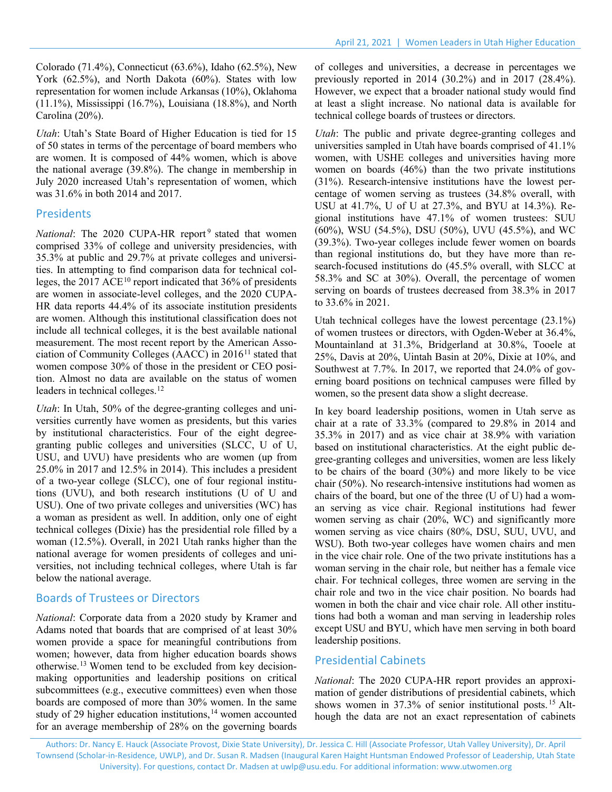Colorado (71.4%), Connecticut (63.6%), Idaho (62.5%), New York (62.5%), and North Dakota (60%). States with low representation for women include Arkansas (10%), Oklahoma (11.1%), Mississippi (16.7%), Louisiana (18.8%), and North Carolina (20%).

*Utah*: Utah's State Board of Higher Education is tied for 15 of 50 states in terms of the percentage of board members who are women. It is composed of 44% women, which is above the national average (39.8%). The change in membership in July 2020 increased Utah's representation of women, which was 31.6% in both 2014 and 2017.

#### Presidents

*National*: The 2020 CUPA-HR report<sup>[9](#page-5-8)</sup> stated that women comprised 33% of college and university presidencies, with 35.3% at public and 29.7% at private colleges and universities. In attempting to find comparison data for technical colleges, the  $2017$  ACE<sup>[10](#page-5-9)</sup> report indicated that 36% of presidents are women in associate-level colleges, and the 2020 CUPA-HR data reports 44.4% of its associate institution presidents are women. Although this institutional classification does not include all technical colleges, it is the best available national measurement. The most recent report by the American Association of Community Colleges (AACC) in  $2016<sup>11</sup>$  $2016<sup>11</sup>$  $2016<sup>11</sup>$  stated that women compose 30% of those in the president or CEO position. Almost no data are available on the status of women leaders in technical colleges.<sup>[12](#page-5-11)</sup>

*Utah*: In Utah, 50% of the degree-granting colleges and universities currently have women as presidents, but this varies by institutional characteristics. Four of the eight degreegranting public colleges and universities (SLCC, U of U, USU, and UVU) have presidents who are women (up from 25.0% in 2017 and 12.5% in 2014). This includes a president of a two-year college (SLCC), one of four regional institutions (UVU), and both research institutions (U of U and USU). One of two private colleges and universities (WC) has a woman as president as well. In addition, only one of eight technical colleges (Dixie) has the presidential role filled by a woman (12.5%). Overall, in 2021 Utah ranks higher than the national average for women presidents of colleges and universities, not including technical colleges, where Utah is far below the national average.

#### Boards of Trustees or Directors

*National*: Corporate data from a 2020 study by Kramer and Adams noted that boards that are comprised of at least 30% women provide a space for meaningful contributions from women; however, data from higher education boards shows otherwise.<sup>[13](#page-5-12)</sup> Women tend to be excluded from key decisionmaking opportunities and leadership positions on critical subcommittees (e.g., executive committees) even when those boards are composed of more than 30% women. In the same study of 29 higher education institutions,<sup>[14](#page-5-13)</sup> women accounted for an average membership of 28% on the governing boards of colleges and universities, a decrease in percentages we previously reported in 2014 (30.2%) and in 2017 (28.4%). However, we expect that a broader national study would find at least a slight increase. No national data is available for technical college boards of trustees or directors.

*Utah*: The public and private degree-granting colleges and universities sampled in Utah have boards comprised of 41.1% women, with USHE colleges and universities having more women on boards (46%) than the two private institutions (31%). Research-intensive institutions have the lowest percentage of women serving as trustees (34.8% overall, with USU at 41.7%, U of U at 27.3%, and BYU at 14.3%). Regional institutions have 47.1% of women trustees: SUU (60%), WSU (54.5%), DSU (50%), UVU (45.5%), and WC (39.3%). Two-year colleges include fewer women on boards than regional institutions do, but they have more than research-focused institutions do (45.5% overall, with SLCC at 58.3% and SC at 30%). Overall, the percentage of women serving on boards of trustees decreased from 38.3% in 2017 to 33.6% in 2021.

Utah technical colleges have the lowest percentage (23.1%) of women trustees or directors, with Ogden-Weber at 36.4%, Mountainland at 31.3%, Bridgerland at 30.8%, Tooele at 25%, Davis at 20%, Uintah Basin at 20%, Dixie at 10%, and Southwest at 7.7%. In 2017, we reported that 24.0% of governing board positions on technical campuses were filled by women, so the present data show a slight decrease.

In key board leadership positions, women in Utah serve as chair at a rate of 33.3% (compared to 29.8% in 2014 and 35.3% in 2017) and as vice chair at 38.9% with variation based on institutional characteristics. At the eight public degree-granting colleges and universities, women are less likely to be chairs of the board (30%) and more likely to be vice chair (50%). No research-intensive institutions had women as chairs of the board, but one of the three (U of U) had a woman serving as vice chair. Regional institutions had fewer women serving as chair (20%, WC) and significantly more women serving as vice chairs (80%, DSU, SUU, UVU, and WSU). Both two-year colleges have women chairs and men in the vice chair role. One of the two private institutions has a woman serving in the chair role, but neither has a female vice chair. For technical colleges, three women are serving in the chair role and two in the vice chair position. No boards had women in both the chair and vice chair role. All other institutions had both a woman and man serving in leadership roles except USU and BYU, which have men serving in both board leadership positions.

#### Presidential Cabinets

*National*: The 2020 CUPA-HR report provides an approximation of gender distributions of presidential cabinets, which shows women in 37.3% of senior institutional posts. [15](#page-5-14) Although the data are not an exact representation of cabinets

Authors: Dr. Nancy E. Hauck (Associate Provost, Dixie State University), Dr. Jessica C. Hill (Associate Professor, Utah Valley University), Dr. April Townsend (Scholar-in-Residence, UWLP), and Dr. Susan R. Madsen (Inaugural Karen Haight Huntsman Endowed Professor of Leadership, Utah State University). For questions, contact Dr. Madsen at [uwlp@usu.edu.](mailto:uwlp@usu.edu) For additional information: [www.utwomen.org](http://utwomen.org/)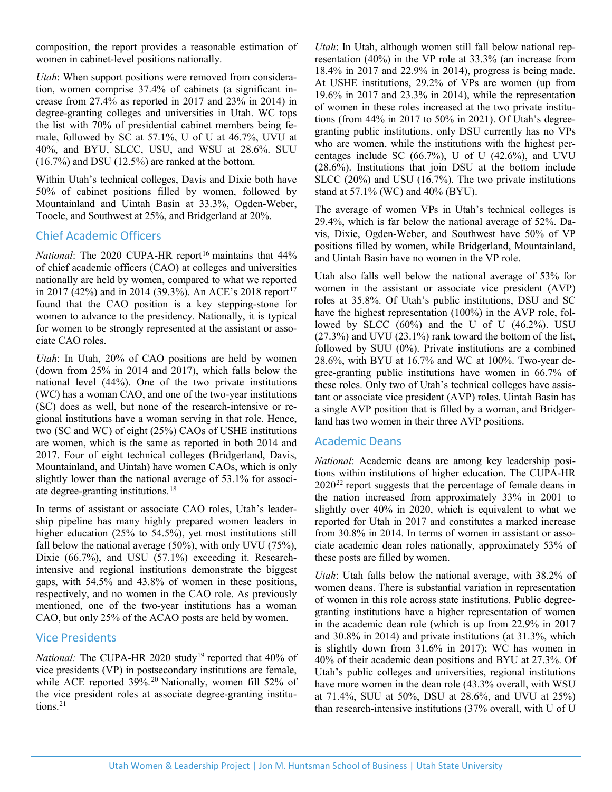composition, the report provides a reasonable estimation of women in cabinet-level positions nationally.

*Utah*: When support positions were removed from consideration, women comprise 37.4% of cabinets (a significant increase from 27.4% as reported in 2017 and 23% in 2014) in degree-granting colleges and universities in Utah. WC tops the list with 70% of presidential cabinet members being female, followed by SC at 57.1%, U of U at 46.7%, UVU at 40%, and BYU, SLCC, USU, and WSU at 28.6%. SUU (16.7%) and DSU (12.5%) are ranked at the bottom.

Within Utah's technical colleges, Davis and Dixie both have 50% of cabinet positions filled by women, followed by Mountainland and Uintah Basin at 33.3%, Ogden-Weber, Tooele, and Southwest at 25%, and Bridgerland at 20%.

#### Chief Academic Officers

*National*: The 2020 CUPA-HR report<sup>[16](#page-5-15)</sup> maintains that 44% of chief academic officers (CAO) at colleges and universities nationally are held by women, compared to what we reported in 20[17](#page-5-16) (42%) and in 2014 (39.3%). An ACE's 2018 report<sup>17</sup> found that the CAO position is a key stepping-stone for women to advance to the presidency. Nationally, it is typical for women to be strongly represented at the assistant or associate CAO roles.

*Utah*: In Utah, 20% of CAO positions are held by women (down from 25% in 2014 and 2017), which falls below the national level (44%). One of the two private institutions (WC) has a woman CAO, and one of the two-year institutions (SC) does as well, but none of the research-intensive or regional institutions have a woman serving in that role. Hence, two (SC and WC) of eight (25%) CAOs of USHE institutions are women, which is the same as reported in both 2014 and 2017. Four of eight technical colleges (Bridgerland, Davis, Mountainland, and Uintah) have women CAOs, which is only slightly lower than the national average of 53.1% for associate degree-granting institutions. [18](#page-5-17)

In terms of assistant or associate CAO roles, Utah's leadership pipeline has many highly prepared women leaders in higher education (25% to 54.5%), yet most institutions still fall below the national average (50%), with only UVU (75%), Dixie (66.7%), and USU (57.1%) exceeding it. Researchintensive and regional institutions demonstrate the biggest gaps, with 54.5% and 43.8% of women in these positions, respectively, and no women in the CAO role. As previously mentioned, one of the two-year institutions has a woman CAO, but only 25% of the ACAO posts are held by women.

#### Vice Presidents

*National:* The CUPA-HR 2020 study<sup>[19](#page-5-18)</sup> reported that 40% of vice presidents (VP) in postsecondary institutions are female, while ACE reported 39%. [20](#page-5-19) Nationally, women fill 52% of the vice president roles at associate degree-granting institutions. [21](#page-5-20)

*Utah*: In Utah, although women still fall below national representation (40%) in the VP role at 33.3% (an increase from 18.4% in 2017 and 22.9% in 2014), progress is being made. At USHE institutions, 29.2% of VPs are women (up from 19.6% in 2017 and 23.3% in 2014), while the representation of women in these roles increased at the two private institutions (from 44% in 2017 to 50% in 2021). Of Utah's degreegranting public institutions, only DSU currently has no VPs who are women, while the institutions with the highest percentages include SC  $(66.7\%)$ , U of U  $(42.6\%)$ , and UVU (28.6%). Institutions that join DSU at the bottom include SLCC (20%) and USU (16.7%). The two private institutions stand at 57.1% (WC) and 40% (BYU).

The average of women VPs in Utah's technical colleges is 29.4%, which is far below the national average of 52%. Davis, Dixie, Ogden-Weber, and Southwest have 50% of VP positions filled by women, while Bridgerland, Mountainland, and Uintah Basin have no women in the VP role.

Utah also falls well below the national average of 53% for women in the assistant or associate vice president (AVP) roles at 35.8%. Of Utah's public institutions, DSU and SC have the highest representation (100%) in the AVP role, followed by SLCC  $(60\%)$  and the U of U  $(46.2\%)$ . USU (27.3%) and UVU (23.1%) rank toward the bottom of the list, followed by SUU (0%). Private institutions are a combined 28.6%, with BYU at 16.7% and WC at 100%. Two-year degree-granting public institutions have women in 66.7% of these roles. Only two of Utah's technical colleges have assistant or associate vice president (AVP) roles. Uintah Basin has a single AVP position that is filled by a woman, and Bridgerland has two women in their three AVP positions.

#### Academic Deans

*National*: Academic deans are among key leadership positions within institutions of higher education. The CUPA-HR  $2020^{22}$  report suggests that the percentage of female deans in the nation increased from approximately 33% in 2001 to slightly over 40% in 2020, which is equivalent to what we reported for Utah in 2017 and constitutes a marked increase from 30.8% in 2014. In terms of women in assistant or associate academic dean roles nationally, approximately 53% of these posts are filled by women.

*Utah*: Utah falls below the national average, with 38.2% of women deans. There is substantial variation in representation of women in this role across state institutions. Public degreegranting institutions have a higher representation of women in the academic dean role (which is up from 22.9% in 2017 and 30.8% in 2014) and private institutions (at 31.3%, which is slightly down from 31.6% in 2017); WC has women in 40% of their academic dean positions and BYU at 27.3%. Of Utah's public colleges and universities, regional institutions have more women in the dean role (43.3% overall, with WSU at 71.4%, SUU at 50%, DSU at 28.6%, and UVU at 25%) than research-intensive institutions (37% overall, with U of U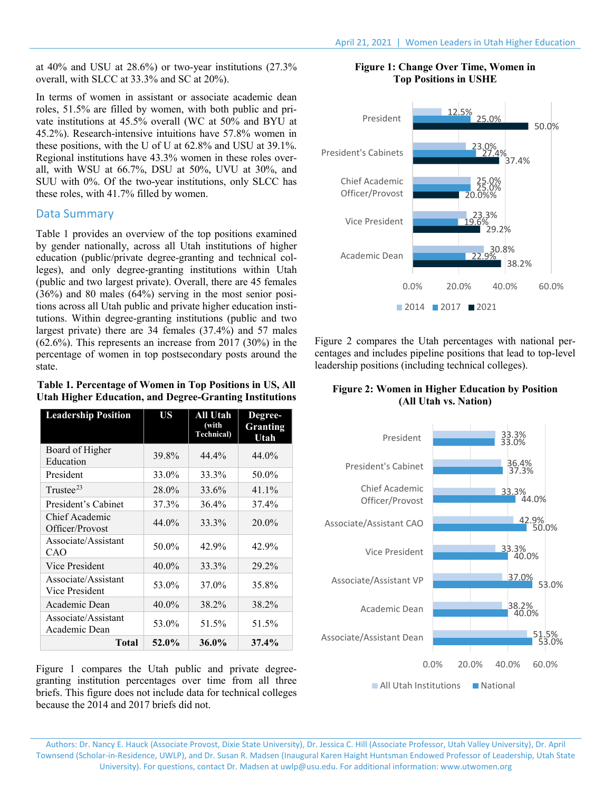at 40% and USU at 28.6%) or two-year institutions (27.3% overall, with SLCC at 33.3% and SC at 20%).

In terms of women in assistant or associate academic dean roles, 51.5% are filled by women, with both public and private institutions at 45.5% overall (WC at 50% and BYU at 45.2%). Research-intensive intuitions have 57.8% women in these positions, with the U of U at 62.8% and USU at 39.1%. Regional institutions have 43.3% women in these roles overall, with WSU at 66.7%, DSU at 50%, UVU at 30%, and SUU with 0%. Of the two-year institutions, only SLCC has these roles, with 41.7% filled by women.

#### Data Summary

Table 1 provides an overview of the top positions examined by gender nationally, across all Utah institutions of higher education (public/private degree-granting and technical colleges), and only degree-granting institutions within Utah (public and two largest private). Overall, there are 45 females (36%) and 80 males (64%) serving in the most senior positions across all Utah public and private higher education institutions. Within degree-granting institutions (public and two largest private) there are 34 females (37.4%) and 57 males (62.6%). This represents an increase from 2017 (30%) in the percentage of women in top postsecondary posts around the state.

| Table 1. Percentage of Women in Top Positions in US, All       |
|----------------------------------------------------------------|
| <b>Utah Higher Education, and Degree-Granting Institutions</b> |

| <b>Leadership Position</b>            | <b>US</b> | All Utah<br>(with<br><b>Technical</b> ) | Degree-<br><b>Granting</b><br>Utah |
|---------------------------------------|-----------|-----------------------------------------|------------------------------------|
| Board of Higher<br>Education          | 39.8%     | 44.4%                                   | 44.0%                              |
| President                             | 33.0%     | 33.3%                                   | 50.0%                              |
| Trustee $^{23}$                       | 28.0%     | 33.6%                                   | 41.1%                              |
| President's Cabinet                   | 37.3%     | 36.4%                                   | 37.4%                              |
| Chief Academic<br>Officer/Provost     | 44.0%     | 33.3%                                   | 20.0%                              |
| Associate/Assistant<br>CAO            | 50.0%     | 42.9%                                   | 42.9%                              |
| Vice President                        | 40.0%     | 33.3%                                   | 29.2%                              |
| Associate/Assistant<br>Vice President | 53.0%     | 37.0%                                   | 35.8%                              |
| Academic Dean                         | 40.0%     | 38.2%                                   | 38.2%                              |
| Associate/Assistant<br>Academic Dean  | 53.0%     | 51.5%                                   | 51.5%                              |
| Total                                 | 52.0%     | 36.0%                                   | $37.4\%$                           |

Figure 1 compares the Utah public and private degreegranting institution percentages over time from all three briefs. This figure does not include data for technical colleges because the 2014 and 2017 briefs did not.

#### **Figure 1: Change Over Time, Women in Top Positions in USHE**



Figure 2 compares the Utah percentages with national percentages and includes pipeline positions that lead to top-level leadership positions (including technical colleges).

#### **Figure 2: Women in Higher Education by Position (All Utah vs. Nation)**



Authors: Dr. Nancy E. Hauck (Associate Provost, Dixie State University), Dr. Jessica C. Hill (Associate Professor, Utah Valley University), Dr. April Townsend (Scholar-in-Residence, UWLP), and Dr. Susan R. Madsen (Inaugural Karen Haight Huntsman Endowed Professor of Leadership, Utah State University). For questions, contact Dr. Madsen at [uwlp@usu.edu.](mailto:uwlp@usu.edu) For additional information: [www.utwomen.org](http://utwomen.org/)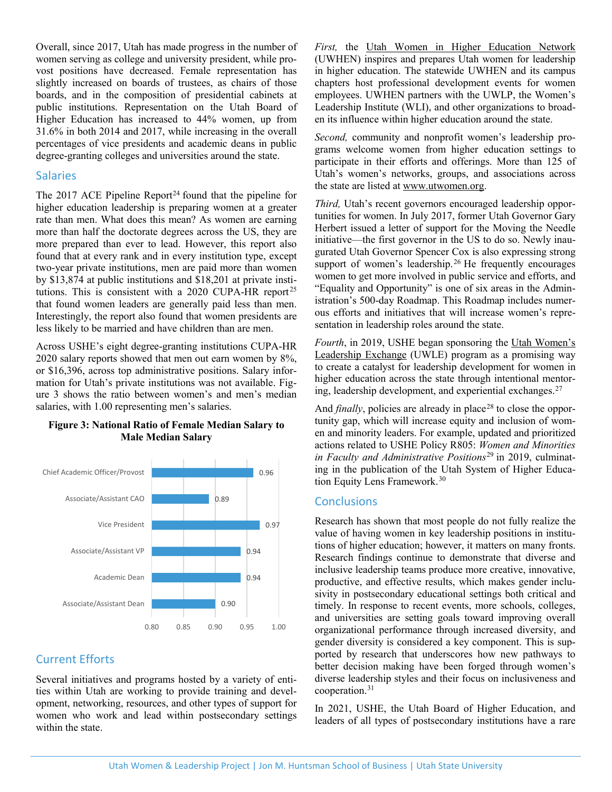Overall, since 2017, Utah has made progress in the number of women serving as college and university president, while provost positions have decreased. Female representation has slightly increased on boards of trustees, as chairs of those boards, and in the composition of presidential cabinets at public institutions. Representation on the Utah Board of Higher Education has increased to 44% women, up from 31.6% in both 2014 and 2017, while increasing in the overall percentages of vice presidents and academic deans in public degree-granting colleges and universities around the state.

#### Salaries

The 2017 ACE Pipeline Report<sup>[24](#page-5-23)</sup> found that the pipeline for higher education leadership is preparing women at a greater rate than men. What does this mean? As women are earning more than half the doctorate degrees across the US, they are more prepared than ever to lead. However, this report also found that at every rank and in every institution type, except two-year private institutions, men are paid more than women by \$13,874 at public institutions and \$18,201 at private insti-tutions. This is consistent with a 2020 CUPA-HR report<sup>[25](#page-5-24)</sup> that found women leaders are generally paid less than men. Interestingly, the report also found that women presidents are less likely to be married and have children than are men.

Across USHE's eight degree-granting institutions CUPA-HR 2020 salary reports showed that men out earn women by 8%, or \$16,396, across top administrative positions. Salary information for Utah's private institutions was not available. Figure 3 shows the ratio between women's and men's median salaries, with 1.00 representing men's salaries.



#### **Figure 3: National Ratio of Female Median Salary to Male Median Salary**

### Current Efforts

Several initiatives and programs hosted by a variety of entities within Utah are working to provide training and development, networking, resources, and other types of support for women who work and lead within postsecondary settings within the state.

*First,* the [Utah Women in Higher Education Network](https://uwhen.org/) (UWHEN) inspires and prepares Utah women for leadership in higher education. The statewide UWHEN and its campus chapters host professional development events for women employees. UWHEN partners with the UWLP, the Women's Leadership Institute (WLI), and other organizations to broaden its influence within higher education around the state.

*Second,* community and nonprofit women's leadership programs welcome women from higher education settings to participate in their efforts and offerings. More than 125 of Utah's women's networks, groups, and associations across the state are listed at [www.utwomen.org.](http://www.utwomen.org/)

*Third,* Utah's recent governors encouraged leadership opportunities for women. In July 2017, former Utah Governor Gary Herbert issued a letter of support for the Moving the Needle initiative—the first governor in the US to do so. Newly inaugurated Utah Governor Spencer Cox is also expressing strong support of women's leadership.<sup>[26](#page-5-25)</sup> He frequently encourages women to get more involved in public service and efforts, and "Equality and Opportunity" is one of six areas in the Administration's 500-day Roadmap. This Roadmap includes numerous efforts and initiatives that will increase women's representation in leadership roles around the state.

*Fourth*, in 2019, USHE began sponsoring the [Utah Women's](http://www.uvu.edu/wsc/uwle/)  [Leadership Exchange](http://www.uvu.edu/wsc/uwle/) (UWLE) program as a promising way to create a catalyst for leadership development for women in higher education across the state through intentional mentoring, leadership development, and experiential exchanges. [27](#page-5-26) 

And *finally*, policies are already in place<sup>[28](#page-5-27)</sup> to close the opportunity gap, which will increase equity and inclusion of women and minority leaders. For example, updated and prioritized actions related to USHE Policy R805: *Women and Minorities in Faculty and Administrative Positions*[29](#page-5-28) in 2019, culminating in the publication of the Utah System of Higher Education Equity Lens Framework.[30](#page-5-29)

#### **Conclusions**

Research has shown that most people do not fully realize the value of having women in key leadership positions in institutions of higher education; however, it matters on many fronts. Research findings continue to demonstrate that diverse and inclusive leadership teams produce more creative, innovative, productive, and effective results, which makes gender inclusivity in postsecondary educational settings both critical and timely. In response to recent events, more schools, colleges, and universities are setting goals toward improving overall organizational performance through increased diversity, and gender diversity is considered a key component. This is supported by research that underscores how new pathways to better decision making have been forged through women's diverse leadership styles and their focus on inclusiveness and cooperation.[31](#page-5-30)

In 2021, USHE, the Utah Board of Higher Education, and leaders of all types of postsecondary institutions have a rare